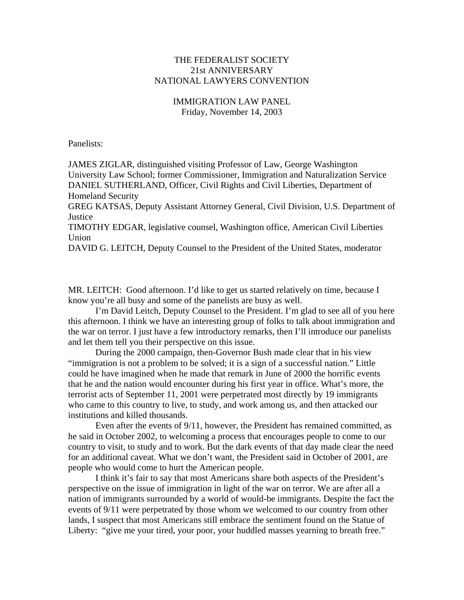## THE FEDERALIST SOCIETY 21st ANNIVERSARY NATIONAL LAWYERS CONVENTION

# IMMIGRATION LAW PANEL Friday, November 14, 2003

Panelists:

JAMES ZIGLAR, distinguished visiting Professor of Law, George Washington University Law School; former Commissioner, Immigration and Naturalization Service DANIEL SUTHERLAND, Officer, Civil Rights and Civil Liberties, Department of Homeland Security

GREG KATSAS, Deputy Assistant Attorney General, Civil Division, U.S. Department of **Justice** 

TIMOTHY EDGAR, legislative counsel, Washington office, American Civil Liberties Union

DAVID G. LEITCH, Deputy Counsel to the President of the United States, moderator

MR. LEITCH: Good afternoon. I'd like to get us started relatively on time, because I know you're all busy and some of the panelists are busy as well.

 I'm David Leitch, Deputy Counsel to the President. I'm glad to see all of you here this afternoon. I think we have an interesting group of folks to talk about immigration and the war on terror. I just have a few introductory remarks, then I'll introduce our panelists and let them tell you their perspective on this issue.

 During the 2000 campaign, then-Governor Bush made clear that in his view "immigration is not a problem to be solved; it is a sign of a successful nation." Little could he have imagined when he made that remark in June of 2000 the horrific events that he and the nation would encounter during his first year in office. What's more, the terrorist acts of September 11, 2001 were perpetrated most directly by 19 immigrants who came to this country to live, to study, and work among us, and then attacked our institutions and killed thousands.

 Even after the events of 9/11, however, the President has remained committed, as he said in October 2002, to welcoming a process that encourages people to come to our country to visit, to study and to work. But the dark events of that day made clear the need for an additional caveat. What we don't want, the President said in October of 2001, are people who would come to hurt the American people.

 I think it's fair to say that most Americans share both aspects of the President's perspective on the issue of immigration in light of the war on terror. We are after all a nation of immigrants surrounded by a world of would-be immigrants. Despite the fact the events of 9/11 were perpetrated by those whom we welcomed to our country from other lands, I suspect that most Americans still embrace the sentiment found on the Statue of Liberty: "give me your tired, your poor, your huddled masses yearning to breath free."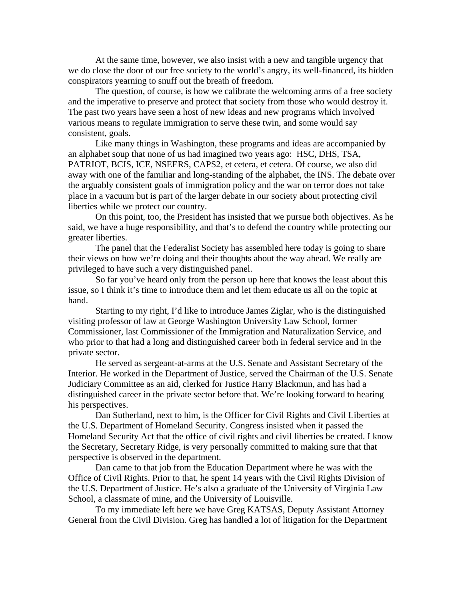At the same time, however, we also insist with a new and tangible urgency that we do close the door of our free society to the world's angry, its well-financed, its hidden conspirators yearning to snuff out the breath of freedom.

 The question, of course, is how we calibrate the welcoming arms of a free society and the imperative to preserve and protect that society from those who would destroy it. The past two years have seen a host of new ideas and new programs which involved various means to regulate immigration to serve these twin, and some would say consistent, goals.

 Like many things in Washington, these programs and ideas are accompanied by an alphabet soup that none of us had imagined two years ago: HSC, DHS, TSA, PATRIOT, BCIS, ICE, NSEERS, CAPS2, et cetera, et cetera. Of course, we also did away with one of the familiar and long-standing of the alphabet, the INS. The debate over the arguably consistent goals of immigration policy and the war on terror does not take place in a vacuum but is part of the larger debate in our society about protecting civil liberties while we protect our country.

 On this point, too, the President has insisted that we pursue both objectives. As he said, we have a huge responsibility, and that's to defend the country while protecting our greater liberties.

 The panel that the Federalist Society has assembled here today is going to share their views on how we're doing and their thoughts about the way ahead. We really are privileged to have such a very distinguished panel.

 So far you've heard only from the person up here that knows the least about this issue, so I think it's time to introduce them and let them educate us all on the topic at hand.

 Starting to my right, I'd like to introduce James Ziglar, who is the distinguished visiting professor of law at George Washington University Law School, former Commissioner, last Commissioner of the Immigration and Naturalization Service, and who prior to that had a long and distinguished career both in federal service and in the private sector.

 He served as sergeant-at-arms at the U.S. Senate and Assistant Secretary of the Interior. He worked in the Department of Justice, served the Chairman of the U.S. Senate Judiciary Committee as an aid, clerked for Justice Harry Blackmun, and has had a distinguished career in the private sector before that. We're looking forward to hearing his perspectives.

 Dan Sutherland, next to him, is the Officer for Civil Rights and Civil Liberties at the U.S. Department of Homeland Security. Congress insisted when it passed the Homeland Security Act that the office of civil rights and civil liberties be created. I know the Secretary, Secretary Ridge, is very personally committed to making sure that that perspective is observed in the department.

 Dan came to that job from the Education Department where he was with the Office of Civil Rights. Prior to that, he spent 14 years with the Civil Rights Division of the U.S. Department of Justice. He's also a graduate of the University of Virginia Law School, a classmate of mine, and the University of Louisville.

 To my immediate left here we have Greg KATSAS, Deputy Assistant Attorney General from the Civil Division. Greg has handled a lot of litigation for the Department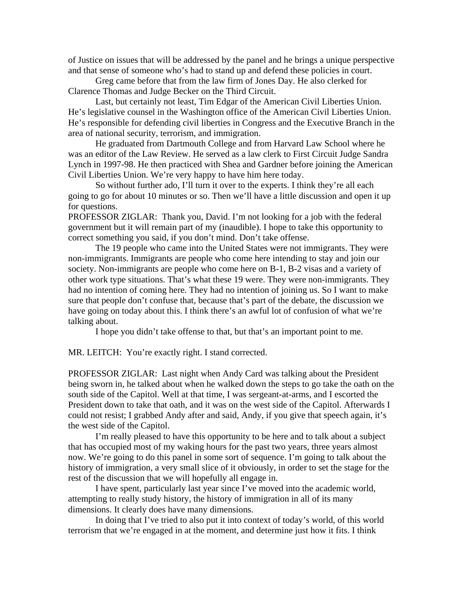of Justice on issues that will be addressed by the panel and he brings a unique perspective and that sense of someone who's had to stand up and defend these policies in court.

 Greg came before that from the law firm of Jones Day. He also clerked for Clarence Thomas and Judge Becker on the Third Circuit.

 Last, but certainly not least, Tim Edgar of the American Civil Liberties Union. He's legislative counsel in the Washington office of the American Civil Liberties Union. He's responsible for defending civil liberties in Congress and the Executive Branch in the area of national security, terrorism, and immigration.

 He graduated from Dartmouth College and from Harvard Law School where he was an editor of the Law Review. He served as a law clerk to First Circuit Judge Sandra Lynch in 1997-98. He then practiced with Shea and Gardner before joining the American Civil Liberties Union. We're very happy to have him here today.

 So without further ado, I'll turn it over to the experts. I think they're all each going to go for about 10 minutes or so. Then we'll have a little discussion and open it up for questions.

PROFESSOR ZIGLAR: Thank you, David. I'm not looking for a job with the federal government but it will remain part of my (inaudible). I hope to take this opportunity to correct something you said, if you don't mind. Don't take offense.

 The 19 people who came into the United States were not immigrants. They were non-immigrants. Immigrants are people who come here intending to stay and join our society. Non-immigrants are people who come here on B-1, B-2 visas and a variety of other work type situations. That's what these 19 were. They were non-immigrants. They had no intention of coming here. They had no intention of joining us. So I want to make sure that people don't confuse that, because that's part of the debate, the discussion we have going on today about this. I think there's an awful lot of confusion of what we're talking about.

I hope you didn't take offense to that, but that's an important point to me.

MR. LEITCH: You're exactly right. I stand corrected.

PROFESSOR ZIGLAR: Last night when Andy Card was talking about the President being sworn in, he talked about when he walked down the steps to go take the oath on the south side of the Capitol. Well at that time, I was sergeant-at-arms, and I escorted the President down to take that oath, and it was on the west side of the Capitol. Afterwards I could not resist; I grabbed Andy after and said, Andy, if you give that speech again, it's the west side of the Capitol.

 I'm really pleased to have this opportunity to be here and to talk about a subject that has occupied most of my waking hours for the past two years, three years almost now. We're going to do this panel in some sort of sequence. I'm going to talk about the history of immigration, a very small slice of it obviously, in order to set the stage for the rest of the discussion that we will hopefully all engage in.

 I have spent, particularly last year since I've moved into the academic world, attempting to really study history, the history of immigration in all of its many dimensions. It clearly does have many dimensions.

 In doing that I've tried to also put it into context of today's world, of this world terrorism that we're engaged in at the moment, and determine just how it fits. I think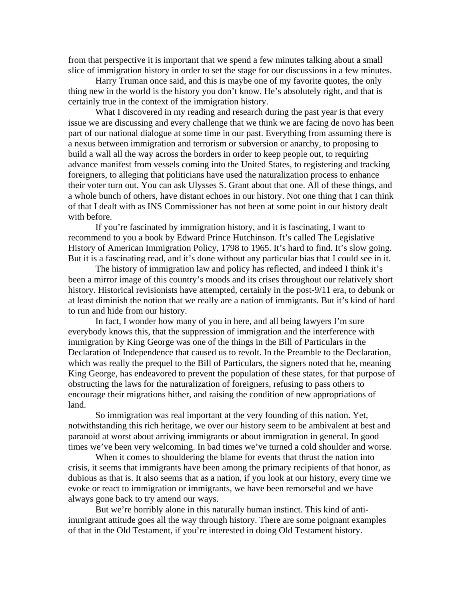from that perspective it is important that we spend a few minutes talking about a small slice of immigration history in order to set the stage for our discussions in a few minutes.

 Harry Truman once said, and this is maybe one of my favorite quotes, the only thing new in the world is the history you don't know. He's absolutely right, and that is certainly true in the context of the immigration history.

 What I discovered in my reading and research during the past year is that every issue we are discussing and every challenge that we think we are facing de novo has been part of our national dialogue at some time in our past. Everything from assuming there is a nexus between immigration and terrorism or subversion or anarchy, to proposing to build a wall all the way across the borders in order to keep people out, to requiring advance manifest from vessels coming into the United States, to registering and tracking foreigners, to alleging that politicians have used the naturalization process to enhance their voter turn out. You can ask Ulysses S. Grant about that one. All of these things, and a whole bunch of others, have distant echoes in our history. Not one thing that I can think of that I dealt with as INS Commissioner has not been at some point in our history dealt with before.

 If you're fascinated by immigration history, and it is fascinating, I want to recommend to you a book by Edward Prince Hutchinson. It's called The Legislative History of American Immigration Policy, 1798 to 1965. It's hard to find. It's slow going. But it is a fascinating read, and it's done without any particular bias that I could see in it.

 The history of immigration law and policy has reflected, and indeed I think it's been a mirror image of this country's moods and its crises throughout our relatively short history. Historical revisionists have attempted, certainly in the post-9/11 era, to debunk or at least diminish the notion that we really are a nation of immigrants. But it's kind of hard to run and hide from our history.

 In fact, I wonder how many of you in here, and all being lawyers I'm sure everybody knows this, that the suppression of immigration and the interference with immigration by King George was one of the things in the Bill of Particulars in the Declaration of Independence that caused us to revolt. In the Preamble to the Declaration, which was really the prequel to the Bill of Particulars, the signers noted that he, meaning King George, has endeavored to prevent the population of these states, for that purpose of obstructing the laws for the naturalization of foreigners, refusing to pass others to encourage their migrations hither, and raising the condition of new appropriations of land.

 So immigration was real important at the very founding of this nation. Yet, notwithstanding this rich heritage, we over our history seem to be ambivalent at best and paranoid at worst about arriving immigrants or about immigration in general. In good times we've been very welcoming. In bad times we've turned a cold shoulder and worse.

 When it comes to shouldering the blame for events that thrust the nation into crisis, it seems that immigrants have been among the primary recipients of that honor, as dubious as that is. It also seems that as a nation, if you look at our history, every time we evoke or react to immigration or immigrants, we have been remorseful and we have always gone back to try amend our ways.

 But we're horribly alone in this naturally human instinct. This kind of antiimmigrant attitude goes all the way through history. There are some poignant examples of that in the Old Testament, if you're interested in doing Old Testament history.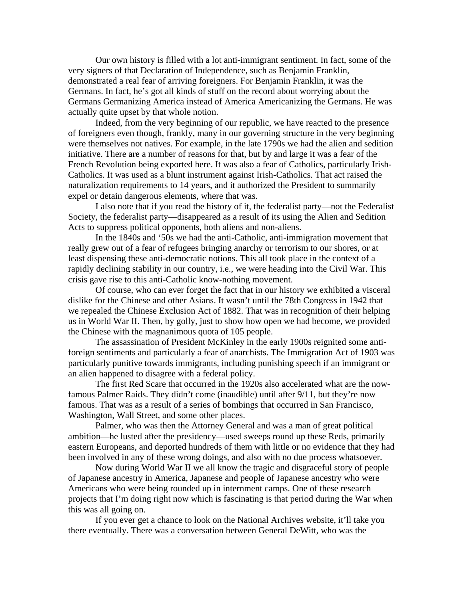Our own history is filled with a lot anti-immigrant sentiment. In fact, some of the very signers of that Declaration of Independence, such as Benjamin Franklin, demonstrated a real fear of arriving foreigners. For Benjamin Franklin, it was the Germans. In fact, he's got all kinds of stuff on the record about worrying about the Germans Germanizing America instead of America Americanizing the Germans. He was actually quite upset by that whole notion.

 Indeed, from the very beginning of our republic, we have reacted to the presence of foreigners even though, frankly, many in our governing structure in the very beginning were themselves not natives. For example, in the late 1790s we had the alien and sedition initiative. There are a number of reasons for that, but by and large it was a fear of the French Revolution being exported here. It was also a fear of Catholics, particularly Irish-Catholics. It was used as a blunt instrument against Irish-Catholics. That act raised the naturalization requirements to 14 years, and it authorized the President to summarily expel or detain dangerous elements, where that was.

 I also note that if you read the history of it, the federalist party—not the Federalist Society, the federalist party—disappeared as a result of its using the Alien and Sedition Acts to suppress political opponents, both aliens and non-aliens.

 In the 1840s and '50s we had the anti-Catholic, anti-immigration movement that really grew out of a fear of refugees bringing anarchy or terrorism to our shores, or at least dispensing these anti-democratic notions. This all took place in the context of a rapidly declining stability in our country, i.e., we were heading into the Civil War. This crisis gave rise to this anti-Catholic know-nothing movement.

 Of course, who can ever forget the fact that in our history we exhibited a visceral dislike for the Chinese and other Asians. It wasn't until the 78th Congress in 1942 that we repealed the Chinese Exclusion Act of 1882. That was in recognition of their helping us in World War II. Then, by golly, just to show how open we had become, we provided the Chinese with the magnanimous quota of 105 people.

 The assassination of President McKinley in the early 1900s reignited some antiforeign sentiments and particularly a fear of anarchists. The Immigration Act of 1903 was particularly punitive towards immigrants, including punishing speech if an immigrant or an alien happened to disagree with a federal policy.

 The first Red Scare that occurred in the 1920s also accelerated what are the nowfamous Palmer Raids. They didn't come (inaudible) until after 9/11, but they're now famous. That was as a result of a series of bombings that occurred in San Francisco, Washington, Wall Street, and some other places.

 Palmer, who was then the Attorney General and was a man of great political ambition—he lusted after the presidency—used sweeps round up these Reds, primarily eastern Europeans, and deported hundreds of them with little or no evidence that they had been involved in any of these wrong doings, and also with no due process whatsoever.

 Now during World War II we all know the tragic and disgraceful story of people of Japanese ancestry in America, Japanese and people of Japanese ancestry who were Americans who were being rounded up in internment camps. One of these research projects that I'm doing right now which is fascinating is that period during the War when this was all going on.

 If you ever get a chance to look on the National Archives website, it'll take you there eventually. There was a conversation between General DeWitt, who was the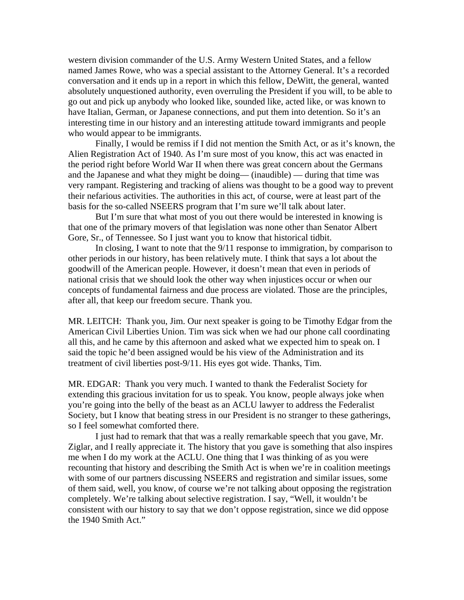western division commander of the U.S. Army Western United States, and a fellow named James Rowe, who was a special assistant to the Attorney General. It's a recorded conversation and it ends up in a report in which this fellow, DeWitt, the general, wanted absolutely unquestioned authority, even overruling the President if you will, to be able to go out and pick up anybody who looked like, sounded like, acted like, or was known to have Italian, German, or Japanese connections, and put them into detention. So it's an interesting time in our history and an interesting attitude toward immigrants and people who would appear to be immigrants.

 Finally, I would be remiss if I did not mention the Smith Act, or as it's known, the Alien Registration Act of 1940. As I'm sure most of you know, this act was enacted in the period right before World War II when there was great concern about the Germans and the Japanese and what they might be doing— (inaudible) — during that time was very rampant. Registering and tracking of aliens was thought to be a good way to prevent their nefarious activities. The authorities in this act, of course, were at least part of the basis for the so-called NSEERS program that I'm sure we'll talk about later.

 But I'm sure that what most of you out there would be interested in knowing is that one of the primary movers of that legislation was none other than Senator Albert Gore, Sr., of Tennessee. So I just want you to know that historical tidbit.

 In closing, I want to note that the 9/11 response to immigration, by comparison to other periods in our history, has been relatively mute. I think that says a lot about the goodwill of the American people. However, it doesn't mean that even in periods of national crisis that we should look the other way when injustices occur or when our concepts of fundamental fairness and due process are violated. Those are the principles, after all, that keep our freedom secure. Thank you.

MR. LEITCH: Thank you, Jim. Our next speaker is going to be Timothy Edgar from the American Civil Liberties Union. Tim was sick when we had our phone call coordinating all this, and he came by this afternoon and asked what we expected him to speak on. I said the topic he'd been assigned would be his view of the Administration and its treatment of civil liberties post-9/11. His eyes got wide. Thanks, Tim.

MR. EDGAR: Thank you very much. I wanted to thank the Federalist Society for extending this gracious invitation for us to speak. You know, people always joke when you're going into the belly of the beast as an ACLU lawyer to address the Federalist Society, but I know that beating stress in our President is no stranger to these gatherings, so I feel somewhat comforted there.

 I just had to remark that that was a really remarkable speech that you gave, Mr. Ziglar, and I really appreciate it. The history that you gave is something that also inspires me when I do my work at the ACLU. One thing that I was thinking of as you were recounting that history and describing the Smith Act is when we're in coalition meetings with some of our partners discussing NSEERS and registration and similar issues, some of them said, well, you know, of course we're not talking about opposing the registration completely. We're talking about selective registration. I say, "Well, it wouldn't be consistent with our history to say that we don't oppose registration, since we did oppose the 1940 Smith Act."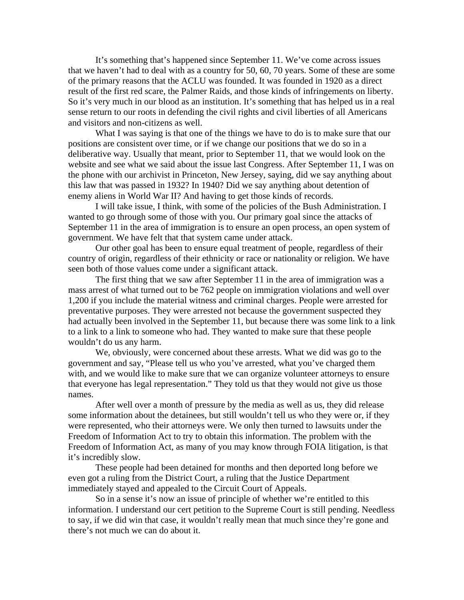It's something that's happened since September 11. We've come across issues that we haven't had to deal with as a country for 50, 60, 70 years. Some of these are some of the primary reasons that the ACLU was founded. It was founded in 1920 as a direct result of the first red scare, the Palmer Raids, and those kinds of infringements on liberty. So it's very much in our blood as an institution. It's something that has helped us in a real sense return to our roots in defending the civil rights and civil liberties of all Americans and visitors and non-citizens as well.

What I was saying is that one of the things we have to do is to make sure that our positions are consistent over time, or if we change our positions that we do so in a deliberative way. Usually that meant, prior to September 11, that we would look on the website and see what we said about the issue last Congress. After September 11, I was on the phone with our archivist in Princeton, New Jersey, saying, did we say anything about this law that was passed in 1932? In 1940? Did we say anything about detention of enemy aliens in World War II? And having to get those kinds of records.

 I will take issue, I think, with some of the policies of the Bush Administration. I wanted to go through some of those with you. Our primary goal since the attacks of September 11 in the area of immigration is to ensure an open process, an open system of government. We have felt that that system came under attack.

 Our other goal has been to ensure equal treatment of people, regardless of their country of origin, regardless of their ethnicity or race or nationality or religion. We have seen both of those values come under a significant attack.

 The first thing that we saw after September 11 in the area of immigration was a mass arrest of what turned out to be 762 people on immigration violations and well over 1,200 if you include the material witness and criminal charges. People were arrested for preventative purposes. They were arrested not because the government suspected they had actually been involved in the September 11, but because there was some link to a link to a link to a link to someone who had. They wanted to make sure that these people wouldn't do us any harm.

 We, obviously, were concerned about these arrests. What we did was go to the government and say, "Please tell us who you've arrested, what you've charged them with, and we would like to make sure that we can organize volunteer attorneys to ensure that everyone has legal representation." They told us that they would not give us those names.

 After well over a month of pressure by the media as well as us, they did release some information about the detainees, but still wouldn't tell us who they were or, if they were represented, who their attorneys were. We only then turned to lawsuits under the Freedom of Information Act to try to obtain this information. The problem with the Freedom of Information Act, as many of you may know through FOIA litigation, is that it's incredibly slow.

 These people had been detained for months and then deported long before we even got a ruling from the District Court, a ruling that the Justice Department immediately stayed and appealed to the Circuit Court of Appeals.

 So in a sense it's now an issue of principle of whether we're entitled to this information. I understand our cert petition to the Supreme Court is still pending. Needless to say, if we did win that case, it wouldn't really mean that much since they're gone and there's not much we can do about it.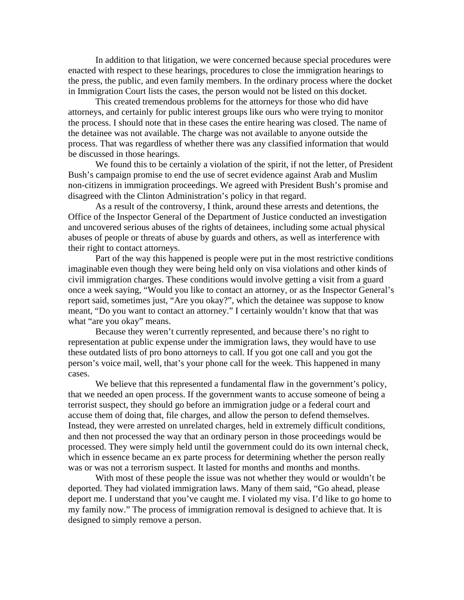In addition to that litigation, we were concerned because special procedures were enacted with respect to these hearings, procedures to close the immigration hearings to the press, the public, and even family members. In the ordinary process where the docket in Immigration Court lists the cases, the person would not be listed on this docket.

 This created tremendous problems for the attorneys for those who did have attorneys, and certainly for public interest groups like ours who were trying to monitor the process. I should note that in these cases the entire hearing was closed. The name of the detainee was not available. The charge was not available to anyone outside the process. That was regardless of whether there was any classified information that would be discussed in those hearings.

 We found this to be certainly a violation of the spirit, if not the letter, of President Bush's campaign promise to end the use of secret evidence against Arab and Muslim non-citizens in immigration proceedings. We agreed with President Bush's promise and disagreed with the Clinton Administration's policy in that regard.

 As a result of the controversy, I think, around these arrests and detentions, the Office of the Inspector General of the Department of Justice conducted an investigation and uncovered serious abuses of the rights of detainees, including some actual physical abuses of people or threats of abuse by guards and others, as well as interference with their right to contact attorneys.

 Part of the way this happened is people were put in the most restrictive conditions imaginable even though they were being held only on visa violations and other kinds of civil immigration charges. These conditions would involve getting a visit from a guard once a week saying, "Would you like to contact an attorney, or as the Inspector General's report said, sometimes just, "Are you okay?", which the detainee was suppose to know meant, "Do you want to contact an attorney." I certainly wouldn't know that that was what "are you okay" means.

 Because they weren't currently represented, and because there's no right to representation at public expense under the immigration laws, they would have to use these outdated lists of pro bono attorneys to call. If you got one call and you got the person's voice mail, well, that's your phone call for the week. This happened in many cases.

We believe that this represented a fundamental flaw in the government's policy, that we needed an open process. If the government wants to accuse someone of being a terrorist suspect, they should go before an immigration judge or a federal court and accuse them of doing that, file charges, and allow the person to defend themselves. Instead, they were arrested on unrelated charges, held in extremely difficult conditions, and then not processed the way that an ordinary person in those proceedings would be processed. They were simply held until the government could do its own internal check, which in essence became an ex parte process for determining whether the person really was or was not a terrorism suspect. It lasted for months and months and months.

 With most of these people the issue was not whether they would or wouldn't be deported. They had violated immigration laws. Many of them said, "Go ahead, please deport me. I understand that you've caught me. I violated my visa. I'd like to go home to my family now." The process of immigration removal is designed to achieve that. It is designed to simply remove a person.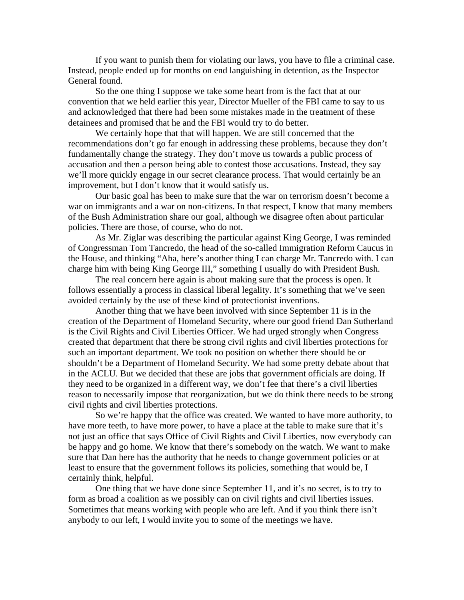If you want to punish them for violating our laws, you have to file a criminal case. Instead, people ended up for months on end languishing in detention, as the Inspector General found.

 So the one thing I suppose we take some heart from is the fact that at our convention that we held earlier this year, Director Mueller of the FBI came to say to us and acknowledged that there had been some mistakes made in the treatment of these detainees and promised that he and the FBI would try to do better.

 We certainly hope that that will happen. We are still concerned that the recommendations don't go far enough in addressing these problems, because they don't fundamentally change the strategy. They don't move us towards a public process of accusation and then a person being able to contest those accusations. Instead, they say we'll more quickly engage in our secret clearance process. That would certainly be an improvement, but I don't know that it would satisfy us.

 Our basic goal has been to make sure that the war on terrorism doesn't become a war on immigrants and a war on non-citizens. In that respect, I know that many members of the Bush Administration share our goal, although we disagree often about particular policies. There are those, of course, who do not.

 As Mr. Ziglar was describing the particular against King George, I was reminded of Congressman Tom Tancredo, the head of the so-called Immigration Reform Caucus in the House, and thinking "Aha, here's another thing I can charge Mr. Tancredo with. I can charge him with being King George III," something I usually do with President Bush.

 The real concern here again is about making sure that the process is open. It follows essentially a process in classical liberal legality. It's something that we've seen avoided certainly by the use of these kind of protectionist inventions.

 Another thing that we have been involved with since September 11 is in the creation of the Department of Homeland Security, where our good friend Dan Sutherland is the Civil Rights and Civil Liberties Officer. We had urged strongly when Congress created that department that there be strong civil rights and civil liberties protections for such an important department. We took no position on whether there should be or shouldn't be a Department of Homeland Security. We had some pretty debate about that in the ACLU. But we decided that these are jobs that government officials are doing. If they need to be organized in a different way, we don't fee that there's a civil liberties reason to necessarily impose that reorganization, but we do think there needs to be strong civil rights and civil liberties protections.

 So we're happy that the office was created. We wanted to have more authority, to have more teeth, to have more power, to have a place at the table to make sure that it's not just an office that says Office of Civil Rights and Civil Liberties, now everybody can be happy and go home. We know that there's somebody on the watch. We want to make sure that Dan here has the authority that he needs to change government policies or at least to ensure that the government follows its policies, something that would be, I certainly think, helpful.

 One thing that we have done since September 11, and it's no secret, is to try to form as broad a coalition as we possibly can on civil rights and civil liberties issues. Sometimes that means working with people who are left. And if you think there isn't anybody to our left, I would invite you to some of the meetings we have.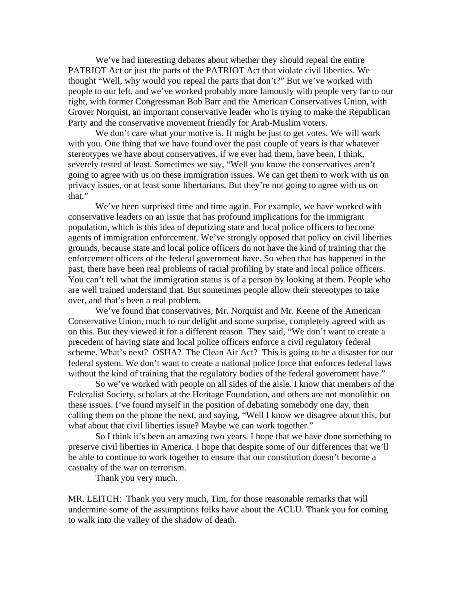We've had interesting debates about whether they should repeal the entire PATRIOT Act or just the parts of the PATRIOT Act that violate civil liberties. We thought "Well, why would you repeal the parts that don't?" But we've worked with people to our left, and we've worked probably more famously with people very far to our right, with former Congressman Bob Barr and the American Conservatives Union, with Grover Norquist, an important conservative leader who is trying to make the Republican Party and the conservative movement friendly for Arab-Muslim voters.

We don't care what your motive is. It might be just to get votes. We will work with you. One thing that we have found over the past couple of years is that whatever stereotypes we have about conservatives, if we ever had them, have been, I think, severely tested at least. Sometimes we say, "Well you know the conservatives aren't going to agree with us on these immigration issues. We can get them to work with us on privacy issues, or at least some libertarians. But they're not going to agree with us on that."

 We've been surprised time and time again. For example, we have worked with conservative leaders on an issue that has profound implications for the immigrant population, which is this idea of deputizing state and local police officers to become agents of immigration enforcement. We've strongly opposed that policy on civil liberties grounds, because state and local police officers do not have the kind of training that the enforcement officers of the federal government have. So when that has happened in the past, there have been real problems of racial profiling by state and local police officers. You can't tell what the immigration status is of a person by looking at them. People who are well trained understand that. But sometimes people allow their stereotypes to take over, and that's been a real problem.

 We've found that conservatives, Mr. Norquist and Mr. Keene of the American Conservative Union, much to our delight and some surprise, completely agreed with us on this. But they viewed it for a different reason. They said, "We don't want to create a precedent of having state and local police officers enforce a civil regulatory federal scheme. What's next? OSHA? The Clean Air Act? This is going to be a disaster for our federal system. We don't want to create a national police force that enforces federal laws without the kind of training that the regulatory bodies of the federal government have."

 So we've worked with people on all sides of the aisle. I know that members of the Federalist Society, scholars at the Heritage Foundation, and others are not monolithic on these issues. I've found myself in the position of debating somebody one day, then calling them on the phone the next, and saying, "Well I know we disagree about this, but what about that civil liberties issue? Maybe we can work together."

 So I think it's been an amazing two years. I hope that we have done something to preserve civil liberties in America. I hope that despite some of our differences that we'll be able to continue to work together to ensure that our constitution doesn't become a casualty of the war on terrorism.

Thank you very much.

MR. LEITCH: Thank you very much, Tim, for those reasonable remarks that will undermine some of the assumptions folks have about the ACLU. Thank you for coming to walk into the valley of the shadow of death.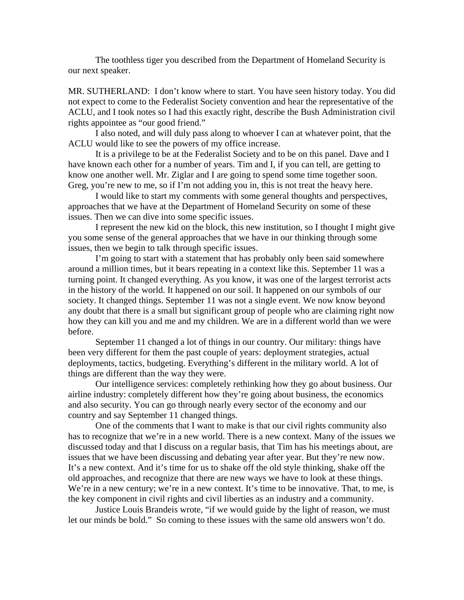The toothless tiger you described from the Department of Homeland Security is our next speaker.

MR. SUTHERLAND: I don't know where to start. You have seen history today. You did not expect to come to the Federalist Society convention and hear the representative of the ACLU, and I took notes so I had this exactly right, describe the Bush Administration civil rights appointee as "our good friend."

 I also noted, and will duly pass along to whoever I can at whatever point, that the ACLU would like to see the powers of my office increase.

 It is a privilege to be at the Federalist Society and to be on this panel. Dave and I have known each other for a number of years. Tim and I, if you can tell, are getting to know one another well. Mr. Ziglar and I are going to spend some time together soon. Greg, you're new to me, so if I'm not adding you in, this is not treat the heavy here.

 I would like to start my comments with some general thoughts and perspectives, approaches that we have at the Department of Homeland Security on some of these issues. Then we can dive into some specific issues.

 I represent the new kid on the block, this new institution, so I thought I might give you some sense of the general approaches that we have in our thinking through some issues, then we begin to talk through specific issues.

 I'm going to start with a statement that has probably only been said somewhere around a million times, but it bears repeating in a context like this. September 11 was a turning point. It changed everything. As you know, it was one of the largest terrorist acts in the history of the world. It happened on our soil. It happened on our symbols of our society. It changed things. September 11 was not a single event. We now know beyond any doubt that there is a small but significant group of people who are claiming right now how they can kill you and me and my children. We are in a different world than we were before.

 September 11 changed a lot of things in our country. Our military: things have been very different for them the past couple of years: deployment strategies, actual deployments, tactics, budgeting. Everything's different in the military world. A lot of things are different than the way they were.

 Our intelligence services: completely rethinking how they go about business. Our airline industry: completely different how they're going about business, the economics and also security. You can go through nearly every sector of the economy and our country and say September 11 changed things.

 One of the comments that I want to make is that our civil rights community also has to recognize that we're in a new world. There is a new context. Many of the issues we discussed today and that I discuss on a regular basis, that Tim has his meetings about, are issues that we have been discussing and debating year after year. But they're new now. It's a new context. And it's time for us to shake off the old style thinking, shake off the old approaches, and recognize that there are new ways we have to look at these things. We're in a new century; we're in a new context. It's time to be innovative. That, to me, is the key component in civil rights and civil liberties as an industry and a community.

 Justice Louis Brandeis wrote, "if we would guide by the light of reason, we must let our minds be bold." So coming to these issues with the same old answers won't do.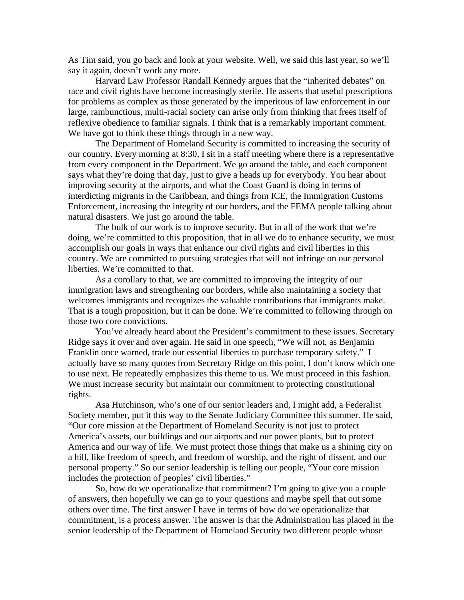As Tim said, you go back and look at your website. Well, we said this last year, so we'll say it again, doesn't work any more.

 Harvard Law Professor Randall Kennedy argues that the "inherited debates" on race and civil rights have become increasingly sterile. He asserts that useful prescriptions for problems as complex as those generated by the imperitous of law enforcement in our large, rambunctious, multi-racial society can arise only from thinking that frees itself of reflexive obedience to familiar signals. I think that is a remarkably important comment. We have got to think these things through in a new way.

 The Department of Homeland Security is committed to increasing the security of our country. Every morning at 8:30, I sit in a staff meeting where there is a representative from every component in the Department. We go around the table, and each component says what they're doing that day, just to give a heads up for everybody. You hear about improving security at the airports, and what the Coast Guard is doing in terms of interdicting migrants in the Caribbean, and things from ICE, the Immigration Customs Enforcement, increasing the integrity of our borders, and the FEMA people talking about natural disasters. We just go around the table.

 The bulk of our work is to improve security. But in all of the work that we're doing, we're committed to this proposition, that in all we do to enhance security, we must accomplish our goals in ways that enhance our civil rights and civil liberties in this country. We are committed to pursuing strategies that will not infringe on our personal liberties. We're committed to that.

 As a corollary to that, we are committed to improving the integrity of our immigration laws and strengthening our borders, while also maintaining a society that welcomes immigrants and recognizes the valuable contributions that immigrants make. That is a tough proposition, but it can be done. We're committed to following through on those two core convictions.

 You've already heard about the President's commitment to these issues. Secretary Ridge says it over and over again. He said in one speech, "We will not, as Benjamin Franklin once warned, trade our essential liberties to purchase temporary safety." I actually have so many quotes from Secretary Ridge on this point, I don't know which one to use next. He repeatedly emphasizes this theme to us. We must proceed in this fashion. We must increase security but maintain our commitment to protecting constitutional rights.

 Asa Hutchinson, who's one of our senior leaders and, I might add, a Federalist Society member, put it this way to the Senate Judiciary Committee this summer. He said, "Our core mission at the Department of Homeland Security is not just to protect America's assets, our buildings and our airports and our power plants, but to protect America and our way of life. We must protect those things that make us a shining city on a hill, like freedom of speech, and freedom of worship, and the right of dissent, and our personal property." So our senior leadership is telling our people, "Your core mission includes the protection of peoples' civil liberties."

 So, how do we operationalize that commitment? I'm going to give you a couple of answers, then hopefully we can go to your questions and maybe spell that out some others over time. The first answer I have in terms of how do we operationalize that commitment, is a process answer. The answer is that the Administration has placed in the senior leadership of the Department of Homeland Security two different people whose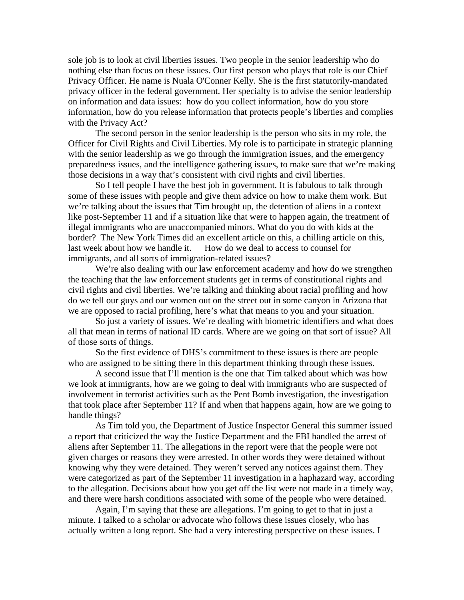sole job is to look at civil liberties issues. Two people in the senior leadership who do nothing else than focus on these issues. Our first person who plays that role is our Chief Privacy Officer. He name is Nuala O'Conner Kelly. She is the first statutorily-mandated privacy officer in the federal government. Her specialty is to advise the senior leadership on information and data issues: how do you collect information, how do you store information, how do you release information that protects people's liberties and complies with the Privacy Act?

 The second person in the senior leadership is the person who sits in my role, the Officer for Civil Rights and Civil Liberties. My role is to participate in strategic planning with the senior leadership as we go through the immigration issues, and the emergency preparedness issues, and the intelligence gathering issues, to make sure that we're making those decisions in a way that's consistent with civil rights and civil liberties.

 So I tell people I have the best job in government. It is fabulous to talk through some of these issues with people and give them advice on how to make them work. But we're talking about the issues that Tim brought up, the detention of aliens in a context like post-September 11 and if a situation like that were to happen again, the treatment of illegal immigrants who are unaccompanied minors. What do you do with kids at the border? The New York Times did an excellent article on this, a chilling article on this, last week about how we handle it. How do we deal to access to counsel for immigrants, and all sorts of immigration-related issues?

 We're also dealing with our law enforcement academy and how do we strengthen the teaching that the law enforcement students get in terms of constitutional rights and civil rights and civil liberties. We're talking and thinking about racial profiling and how do we tell our guys and our women out on the street out in some canyon in Arizona that we are opposed to racial profiling, here's what that means to you and your situation.

 So just a variety of issues. We're dealing with biometric identifiers and what does all that mean in terms of national ID cards. Where are we going on that sort of issue? All of those sorts of things.

 So the first evidence of DHS's commitment to these issues is there are people who are assigned to be sitting there in this department thinking through these issues.

 A second issue that I'll mention is the one that Tim talked about which was how we look at immigrants, how are we going to deal with immigrants who are suspected of involvement in terrorist activities such as the Pent Bomb investigation, the investigation that took place after September 11? If and when that happens again, how are we going to handle things?

 As Tim told you, the Department of Justice Inspector General this summer issued a report that criticized the way the Justice Department and the FBI handled the arrest of aliens after September 11. The allegations in the report were that the people were not given charges or reasons they were arrested. In other words they were detained without knowing why they were detained. They weren't served any notices against them. They were categorized as part of the September 11 investigation in a haphazard way, according to the allegation. Decisions about how you get off the list were not made in a timely way, and there were harsh conditions associated with some of the people who were detained.

 Again, I'm saying that these are allegations. I'm going to get to that in just a minute. I talked to a scholar or advocate who follows these issues closely, who has actually written a long report. She had a very interesting perspective on these issues. I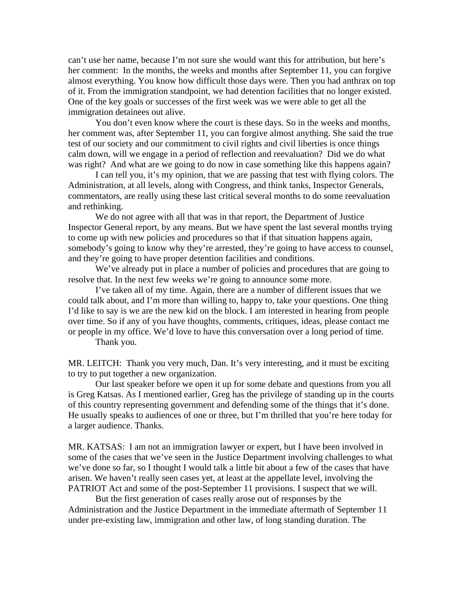can't use her name, because I'm not sure she would want this for attribution, but here's her comment: In the months, the weeks and months after September 11, you can forgive almost everything. You know how difficult those days were. Then you had anthrax on top of it. From the immigration standpoint, we had detention facilities that no longer existed. One of the key goals or successes of the first week was we were able to get all the immigration detainees out alive.

 You don't even know where the court is these days. So in the weeks and months, her comment was, after September 11, you can forgive almost anything. She said the true test of our society and our commitment to civil rights and civil liberties is once things calm down, will we engage in a period of reflection and reevaluation? Did we do what was right? And what are we going to do now in case something like this happens again?

 I can tell you, it's my opinion, that we are passing that test with flying colors. The Administration, at all levels, along with Congress, and think tanks, Inspector Generals, commentators, are really using these last critical several months to do some reevaluation and rethinking.

 We do not agree with all that was in that report, the Department of Justice Inspector General report, by any means. But we have spent the last several months trying to come up with new policies and procedures so that if that situation happens again, somebody's going to know why they're arrested, they're going to have access to counsel, and they're going to have proper detention facilities and conditions.

We've already put in place a number of policies and procedures that are going to resolve that. In the next few weeks we're going to announce some more.

 I've taken all of my time. Again, there are a number of different issues that we could talk about, and I'm more than willing to, happy to, take your questions. One thing I'd like to say is we are the new kid on the block. I am interested in hearing from people over time. So if any of you have thoughts, comments, critiques, ideas, please contact me or people in my office. We'd love to have this conversation over a long period of time.

Thank you.

MR. LEITCH: Thank you very much, Dan. It's very interesting, and it must be exciting to try to put together a new organization.

 Our last speaker before we open it up for some debate and questions from you all is Greg Katsas. As I mentioned earlier, Greg has the privilege of standing up in the courts of this country representing government and defending some of the things that it's done. He usually speaks to audiences of one or three, but I'm thrilled that you're here today for a larger audience. Thanks.

MR. KATSAS: I am not an immigration lawyer or expert, but I have been involved in some of the cases that we've seen in the Justice Department involving challenges to what we've done so far, so I thought I would talk a little bit about a few of the cases that have arisen. We haven't really seen cases yet, at least at the appellate level, involving the PATRIOT Act and some of the post-September 11 provisions. I suspect that we will.

 But the first generation of cases really arose out of responses by the Administration and the Justice Department in the immediate aftermath of September 11 under pre-existing law, immigration and other law, of long standing duration. The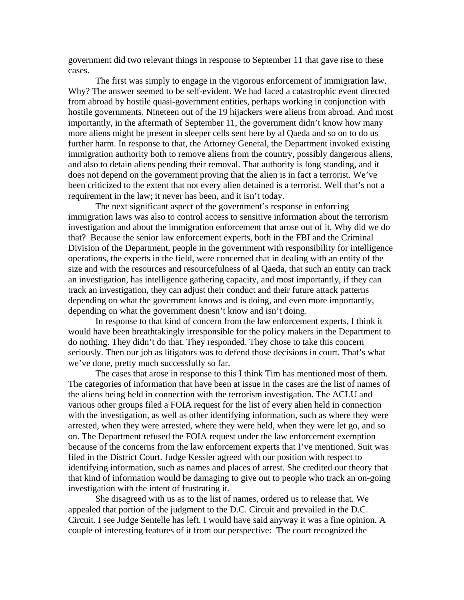government did two relevant things in response to September 11 that gave rise to these cases.

 The first was simply to engage in the vigorous enforcement of immigration law. Why? The answer seemed to be self-evident. We had faced a catastrophic event directed from abroad by hostile quasi-government entities, perhaps working in conjunction with hostile governments. Nineteen out of the 19 hijackers were aliens from abroad. And most importantly, in the aftermath of September 11, the government didn't know how many more aliens might be present in sleeper cells sent here by al Qaeda and so on to do us further harm. In response to that, the Attorney General, the Department invoked existing immigration authority both to remove aliens from the country, possibly dangerous aliens, and also to detain aliens pending their removal. That authority is long standing, and it does not depend on the government proving that the alien is in fact a terrorist. We've been criticized to the extent that not every alien detained is a terrorist. Well that's not a requirement in the law; it never has been, and it isn't today.

 The next significant aspect of the government's response in enforcing immigration laws was also to control access to sensitive information about the terrorism investigation and about the immigration enforcement that arose out of it. Why did we do that? Because the senior law enforcement experts, both in the FBI and the Criminal Division of the Department, people in the government with responsibility for intelligence operations, the experts in the field, were concerned that in dealing with an entity of the size and with the resources and resourcefulness of al Qaeda, that such an entity can track an investigation, has intelligence gathering capacity, and most importantly, if they can track an investigation, they can adjust their conduct and their future attack patterns depending on what the government knows and is doing, and even more importantly, depending on what the government doesn't know and isn't doing.

 In response to that kind of concern from the law enforcement experts, I think it would have been breathtakingly irresponsible for the policy makers in the Department to do nothing. They didn't do that. They responded. They chose to take this concern seriously. Then our job as litigators was to defend those decisions in court. That's what we've done, pretty much successfully so far.

 The cases that arose in response to this I think Tim has mentioned most of them. The categories of information that have been at issue in the cases are the list of names of the aliens being held in connection with the terrorism investigation. The ACLU and various other groups filed a FOIA request for the list of every alien held in connection with the investigation, as well as other identifying information, such as where they were arrested, when they were arrested, where they were held, when they were let go, and so on. The Department refused the FOIA request under the law enforcement exemption because of the concerns from the law enforcement experts that I've mentioned. Suit was filed in the District Court. Judge Kessler agreed with our position with respect to identifying information, such as names and places of arrest. She credited our theory that that kind of information would be damaging to give out to people who track an on-going investigation with the intent of frustrating it.

 She disagreed with us as to the list of names, ordered us to release that. We appealed that portion of the judgment to the D.C. Circuit and prevailed in the D.C. Circuit. I see Judge Sentelle has left. I would have said anyway it was a fine opinion. A couple of interesting features of it from our perspective: The court recognized the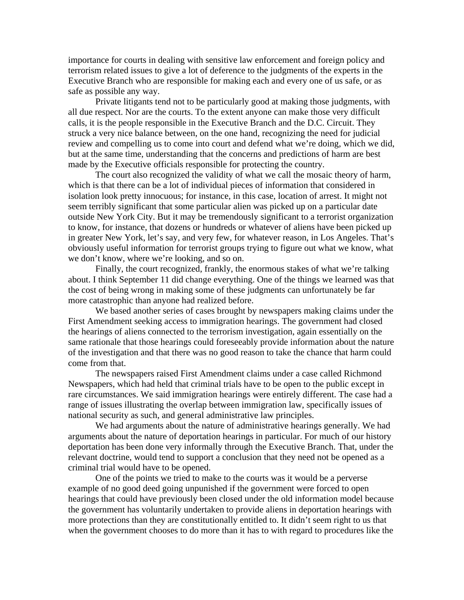importance for courts in dealing with sensitive law enforcement and foreign policy and terrorism related issues to give a lot of deference to the judgments of the experts in the Executive Branch who are responsible for making each and every one of us safe, or as safe as possible any way.

 Private litigants tend not to be particularly good at making those judgments, with all due respect. Nor are the courts. To the extent anyone can make those very difficult calls, it is the people responsible in the Executive Branch and the D.C. Circuit. They struck a very nice balance between, on the one hand, recognizing the need for judicial review and compelling us to come into court and defend what we're doing, which we did, but at the same time, understanding that the concerns and predictions of harm are best made by the Executive officials responsible for protecting the country.

 The court also recognized the validity of what we call the mosaic theory of harm, which is that there can be a lot of individual pieces of information that considered in isolation look pretty innocuous; for instance, in this case, location of arrest. It might not seem terribly significant that some particular alien was picked up on a particular date outside New York City. But it may be tremendously significant to a terrorist organization to know, for instance, that dozens or hundreds or whatever of aliens have been picked up in greater New York, let's say, and very few, for whatever reason, in Los Angeles. That's obviously useful information for terrorist groups trying to figure out what we know, what we don't know, where we're looking, and so on.

 Finally, the court recognized, frankly, the enormous stakes of what we're talking about. I think September 11 did change everything. One of the things we learned was that the cost of being wrong in making some of these judgments can unfortunately be far more catastrophic than anyone had realized before.

 We based another series of cases brought by newspapers making claims under the First Amendment seeking access to immigration hearings. The government had closed the hearings of aliens connected to the terrorism investigation, again essentially on the same rationale that those hearings could foreseeably provide information about the nature of the investigation and that there was no good reason to take the chance that harm could come from that.

 The newspapers raised First Amendment claims under a case called Richmond Newspapers, which had held that criminal trials have to be open to the public except in rare circumstances. We said immigration hearings were entirely different. The case had a range of issues illustrating the overlap between immigration law, specifically issues of national security as such, and general administrative law principles.

 We had arguments about the nature of administrative hearings generally. We had arguments about the nature of deportation hearings in particular. For much of our history deportation has been done very informally through the Executive Branch. That, under the relevant doctrine, would tend to support a conclusion that they need not be opened as a criminal trial would have to be opened.

 One of the points we tried to make to the courts was it would be a perverse example of no good deed going unpunished if the government were forced to open hearings that could have previously been closed under the old information model because the government has voluntarily undertaken to provide aliens in deportation hearings with more protections than they are constitutionally entitled to. It didn't seem right to us that when the government chooses to do more than it has to with regard to procedures like the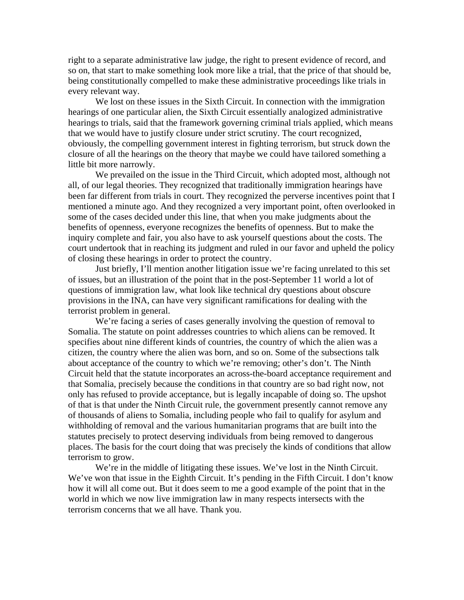right to a separate administrative law judge, the right to present evidence of record, and so on, that start to make something look more like a trial, that the price of that should be, being constitutionally compelled to make these administrative proceedings like trials in every relevant way.

We lost on these issues in the Sixth Circuit. In connection with the immigration hearings of one particular alien, the Sixth Circuit essentially analogized administrative hearings to trials, said that the framework governing criminal trials applied, which means that we would have to justify closure under strict scrutiny. The court recognized, obviously, the compelling government interest in fighting terrorism, but struck down the closure of all the hearings on the theory that maybe we could have tailored something a little bit more narrowly.

 We prevailed on the issue in the Third Circuit, which adopted most, although not all, of our legal theories. They recognized that traditionally immigration hearings have been far different from trials in court. They recognized the perverse incentives point that I mentioned a minute ago. And they recognized a very important point, often overlooked in some of the cases decided under this line, that when you make judgments about the benefits of openness, everyone recognizes the benefits of openness. But to make the inquiry complete and fair, you also have to ask yourself questions about the costs. The court undertook that in reaching its judgment and ruled in our favor and upheld the policy of closing these hearings in order to protect the country.

 Just briefly, I'll mention another litigation issue we're facing unrelated to this set of issues, but an illustration of the point that in the post-September 11 world a lot of questions of immigration law, what look like technical dry questions about obscure provisions in the INA, can have very significant ramifications for dealing with the terrorist problem in general.

 We're facing a series of cases generally involving the question of removal to Somalia. The statute on point addresses countries to which aliens can be removed. It specifies about nine different kinds of countries, the country of which the alien was a citizen, the country where the alien was born, and so on. Some of the subsections talk about acceptance of the country to which we're removing; other's don't. The Ninth Circuit held that the statute incorporates an across-the-board acceptance requirement and that Somalia, precisely because the conditions in that country are so bad right now, not only has refused to provide acceptance, but is legally incapable of doing so. The upshot of that is that under the Ninth Circuit rule, the government presently cannot remove any of thousands of aliens to Somalia, including people who fail to qualify for asylum and withholding of removal and the various humanitarian programs that are built into the statutes precisely to protect deserving individuals from being removed to dangerous places. The basis for the court doing that was precisely the kinds of conditions that allow terrorism to grow.

We're in the middle of litigating these issues. We've lost in the Ninth Circuit. We've won that issue in the Eighth Circuit. It's pending in the Fifth Circuit. I don't know how it will all come out. But it does seem to me a good example of the point that in the world in which we now live immigration law in many respects intersects with the terrorism concerns that we all have. Thank you.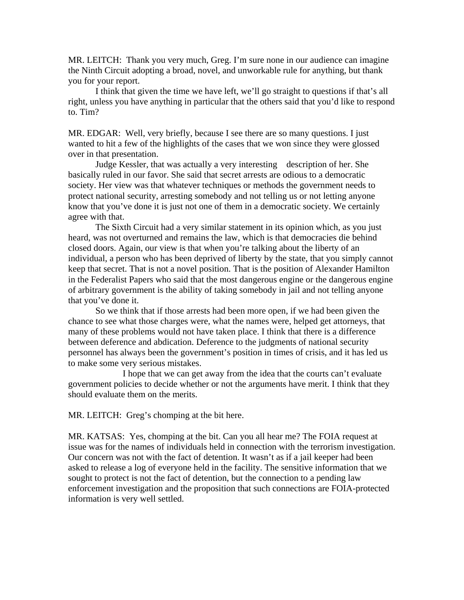MR. LEITCH: Thank you very much, Greg. I'm sure none in our audience can imagine the Ninth Circuit adopting a broad, novel, and unworkable rule for anything, but thank you for your report.

 I think that given the time we have left, we'll go straight to questions if that's all right, unless you have anything in particular that the others said that you'd like to respond to. Tim?

MR. EDGAR: Well, very briefly, because I see there are so many questions. I just wanted to hit a few of the highlights of the cases that we won since they were glossed over in that presentation.

 Judge Kessler, that was actually a very interesting description of her. She basically ruled in our favor. She said that secret arrests are odious to a democratic society. Her view was that whatever techniques or methods the government needs to protect national security, arresting somebody and not telling us or not letting anyone know that you've done it is just not one of them in a democratic society. We certainly agree with that.

 The Sixth Circuit had a very similar statement in its opinion which, as you just heard, was not overturned and remains the law, which is that democracies die behind closed doors. Again, our view is that when you're talking about the liberty of an individual, a person who has been deprived of liberty by the state, that you simply cannot keep that secret. That is not a novel position. That is the position of Alexander Hamilton in the Federalist Papers who said that the most dangerous engine or the dangerous engine of arbitrary government is the ability of taking somebody in jail and not telling anyone that you've done it.

 So we think that if those arrests had been more open, if we had been given the chance to see what those charges were, what the names were, helped get attorneys, that many of these problems would not have taken place. I think that there is a difference between deference and abdication. Deference to the judgments of national security personnel has always been the government's position in times of crisis, and it has led us to make some very serious mistakes.

 I hope that we can get away from the idea that the courts can't evaluate government policies to decide whether or not the arguments have merit. I think that they should evaluate them on the merits.

MR. LEITCH: Greg's chomping at the bit here.

MR. KATSAS: Yes, chomping at the bit. Can you all hear me? The FOIA request at issue was for the names of individuals held in connection with the terrorism investigation. Our concern was not with the fact of detention. It wasn't as if a jail keeper had been asked to release a log of everyone held in the facility. The sensitive information that we sought to protect is not the fact of detention, but the connection to a pending law enforcement investigation and the proposition that such connections are FOIA-protected information is very well settled.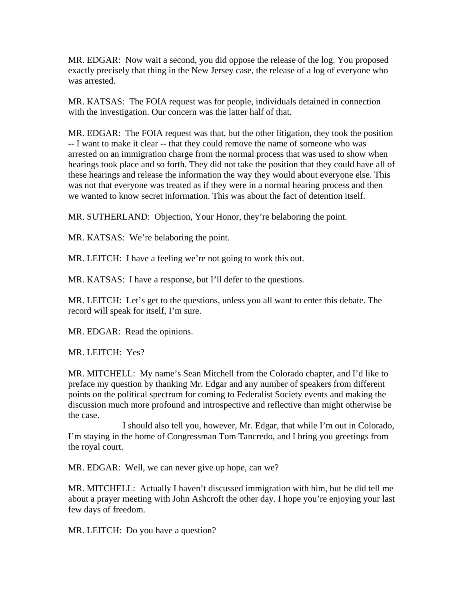MR. EDGAR: Now wait a second, you did oppose the release of the log. You proposed exactly precisely that thing in the New Jersey case, the release of a log of everyone who was arrested.

MR. KATSAS: The FOIA request was for people, individuals detained in connection with the investigation. Our concern was the latter half of that.

MR. EDGAR: The FOIA request was that, but the other litigation, they took the position -- I want to make it clear -- that they could remove the name of someone who was arrested on an immigration charge from the normal process that was used to show when hearings took place and so forth. They did not take the position that they could have all of these hearings and release the information the way they would about everyone else. This was not that everyone was treated as if they were in a normal hearing process and then we wanted to know secret information. This was about the fact of detention itself.

MR. SUTHERLAND: Objection, Your Honor, they're belaboring the point.

MR. KATSAS: We're belaboring the point.

MR. LEITCH: I have a feeling we're not going to work this out.

MR. KATSAS: I have a response, but I'll defer to the questions.

MR. LEITCH: Let's get to the questions, unless you all want to enter this debate. The record will speak for itself, I'm sure.

MR. EDGAR: Read the opinions.

MR. LEITCH: Yes?

MR. MITCHELL: My name's Sean Mitchell from the Colorado chapter, and I'd like to preface my question by thanking Mr. Edgar and any number of speakers from different points on the political spectrum for coming to Federalist Society events and making the discussion much more profound and introspective and reflective than might otherwise be the case.

 I should also tell you, however, Mr. Edgar, that while I'm out in Colorado, I'm staying in the home of Congressman Tom Tancredo, and I bring you greetings from the royal court.

MR. EDGAR: Well, we can never give up hope, can we?

MR. MITCHELL: Actually I haven't discussed immigration with him, but he did tell me about a prayer meeting with John Ashcroft the other day. I hope you're enjoying your last few days of freedom.

MR. LEITCH: Do you have a question?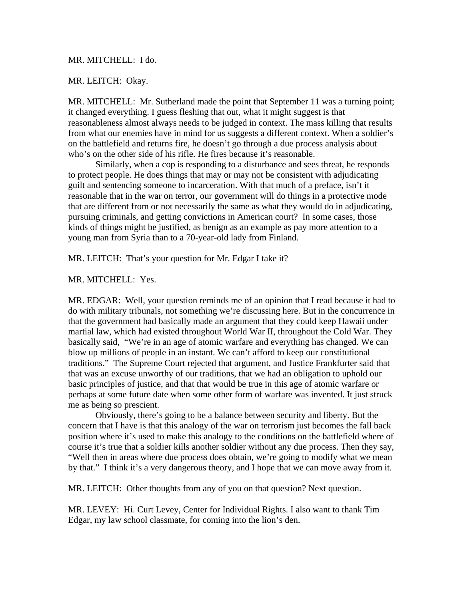### MR. MITCHELL: I do.

### MR. LEITCH: Okay.

MR. MITCHELL: Mr. Sutherland made the point that September 11 was a turning point; it changed everything. I guess fleshing that out, what it might suggest is that reasonableness almost always needs to be judged in context. The mass killing that results from what our enemies have in mind for us suggests a different context. When a soldier's on the battlefield and returns fire, he doesn't go through a due process analysis about who's on the other side of his rifle. He fires because it's reasonable.

 Similarly, when a cop is responding to a disturbance and sees threat, he responds to protect people. He does things that may or may not be consistent with adjudicating guilt and sentencing someone to incarceration. With that much of a preface, isn't it reasonable that in the war on terror, our government will do things in a protective mode that are different from or not necessarily the same as what they would do in adjudicating, pursuing criminals, and getting convictions in American court? In some cases, those kinds of things might be justified, as benign as an example as pay more attention to a young man from Syria than to a 70-year-old lady from Finland.

MR. LEITCH: That's your question for Mr. Edgar I take it?

MR. MITCHELL: Yes.

MR. EDGAR: Well, your question reminds me of an opinion that I read because it had to do with military tribunals, not something we're discussing here. But in the concurrence in that the government had basically made an argument that they could keep Hawaii under martial law, which had existed throughout World War II, throughout the Cold War. They basically said, "We're in an age of atomic warfare and everything has changed. We can blow up millions of people in an instant. We can't afford to keep our constitutional traditions." The Supreme Court rejected that argument, and Justice Frankfurter said that that was an excuse unworthy of our traditions, that we had an obligation to uphold our basic principles of justice, and that that would be true in this age of atomic warfare or perhaps at some future date when some other form of warfare was invented. It just struck me as being so prescient.

 Obviously, there's going to be a balance between security and liberty. But the concern that I have is that this analogy of the war on terrorism just becomes the fall back position where it's used to make this analogy to the conditions on the battlefield where of course it's true that a soldier kills another soldier without any due process. Then they say, "Well then in areas where due process does obtain, we're going to modify what we mean by that." I think it's a very dangerous theory, and I hope that we can move away from it.

MR. LEITCH: Other thoughts from any of you on that question? Next question.

MR. LEVEY: Hi. Curt Levey, Center for Individual Rights. I also want to thank Tim Edgar, my law school classmate, for coming into the lion's den.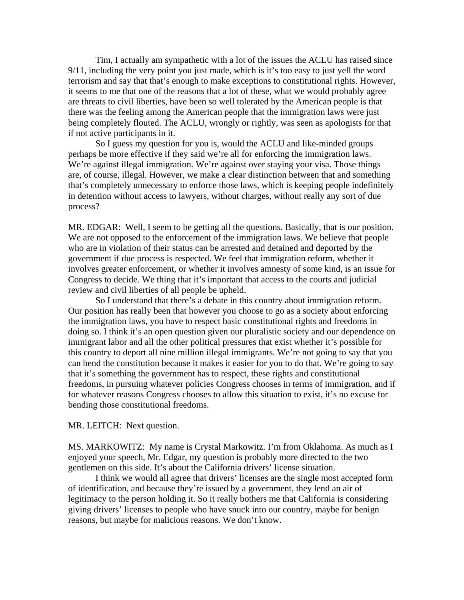Tim, I actually am sympathetic with a lot of the issues the ACLU has raised since 9/11, including the very point you just made, which is it's too easy to just yell the word terrorism and say that that's enough to make exceptions to constitutional rights. However, it seems to me that one of the reasons that a lot of these, what we would probably agree are threats to civil liberties, have been so well tolerated by the American people is that there was the feeling among the American people that the immigration laws were just being completely flouted. The ACLU, wrongly or rightly, was seen as apologists for that if not active participants in it.

 So I guess my question for you is, would the ACLU and like-minded groups perhaps be more effective if they said we're all for enforcing the immigration laws. We're against illegal immigration. We're against over staying your visa. Those things are, of course, illegal. However, we make a clear distinction between that and something that's completely unnecessary to enforce those laws, which is keeping people indefinitely in detention without access to lawyers, without charges, without really any sort of due process?

MR. EDGAR: Well, I seem to be getting all the questions. Basically, that is our position. We are not opposed to the enforcement of the immigration laws. We believe that people who are in violation of their status can be arrested and detained and deported by the government if due process is respected. We feel that immigration reform, whether it involves greater enforcement, or whether it involves amnesty of some kind, is an issue for Congress to decide. We thing that it's important that access to the courts and judicial review and civil liberties of all people be upheld.

 So I understand that there's a debate in this country about immigration reform. Our position has really been that however you choose to go as a society about enforcing the immigration laws, you have to respect basic constitutional rights and freedoms in doing so. I think it's an open question given our pluralistic society and our dependence on immigrant labor and all the other political pressures that exist whether it's possible for this country to deport all nine million illegal immigrants. We're not going to say that you can bend the constitution because it makes it easier for you to do that. We're going to say that it's something the government has to respect, these rights and constitutional freedoms, in pursuing whatever policies Congress chooses in terms of immigration, and if for whatever reasons Congress chooses to allow this situation to exist, it's no excuse for bending those constitutional freedoms.

### MR. LEITCH: Next question.

MS. MARKOWITZ: My name is Crystal Markowitz. I'm from Oklahoma. As much as I enjoyed your speech, Mr. Edgar, my question is probably more directed to the two gentlemen on this side. It's about the California drivers' license situation.

 I think we would all agree that drivers' licenses are the single most accepted form of identification, and because they're issued by a government, they lend an air of legitimacy to the person holding it. So it really bothers me that California is considering giving drivers' licenses to people who have snuck into our country, maybe for benign reasons, but maybe for malicious reasons. We don't know.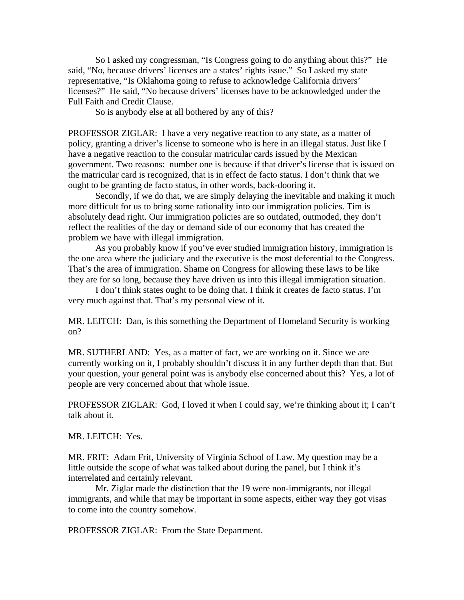So I asked my congressman, "Is Congress going to do anything about this?" He said, "No, because drivers' licenses are a states' rights issue." So I asked my state representative, "Is Oklahoma going to refuse to acknowledge California drivers' licenses?" He said, "No because drivers' licenses have to be acknowledged under the Full Faith and Credit Clause.

So is anybody else at all bothered by any of this?

PROFESSOR ZIGLAR: I have a very negative reaction to any state, as a matter of policy, granting a driver's license to someone who is here in an illegal status. Just like I have a negative reaction to the consular matricular cards issued by the Mexican government. Two reasons: number one is because if that driver's license that is issued on the matricular card is recognized, that is in effect de facto status. I don't think that we ought to be granting de facto status, in other words, back-dooring it.

 Secondly, if we do that, we are simply delaying the inevitable and making it much more difficult for us to bring some rationality into our immigration policies. Tim is absolutely dead right. Our immigration policies are so outdated, outmoded, they don't reflect the realities of the day or demand side of our economy that has created the problem we have with illegal immigration.

 As you probably know if you've ever studied immigration history, immigration is the one area where the judiciary and the executive is the most deferential to the Congress. That's the area of immigration. Shame on Congress for allowing these laws to be like they are for so long, because they have driven us into this illegal immigration situation.

 I don't think states ought to be doing that. I think it creates de facto status. I'm very much against that. That's my personal view of it.

MR. LEITCH: Dan, is this something the Department of Homeland Security is working on?

MR. SUTHERLAND: Yes, as a matter of fact, we are working on it. Since we are currently working on it, I probably shouldn't discuss it in any further depth than that. But your question, your general point was is anybody else concerned about this? Yes, a lot of people are very concerned about that whole issue.

PROFESSOR ZIGLAR: God, I loved it when I could say, we're thinking about it; I can't talk about it.

MR. LEITCH: Yes.

MR. FRIT: Adam Frit, University of Virginia School of Law. My question may be a little outside the scope of what was talked about during the panel, but I think it's interrelated and certainly relevant.

 Mr. Ziglar made the distinction that the 19 were non-immigrants, not illegal immigrants, and while that may be important in some aspects, either way they got visas to come into the country somehow.

PROFESSOR ZIGLAR: From the State Department.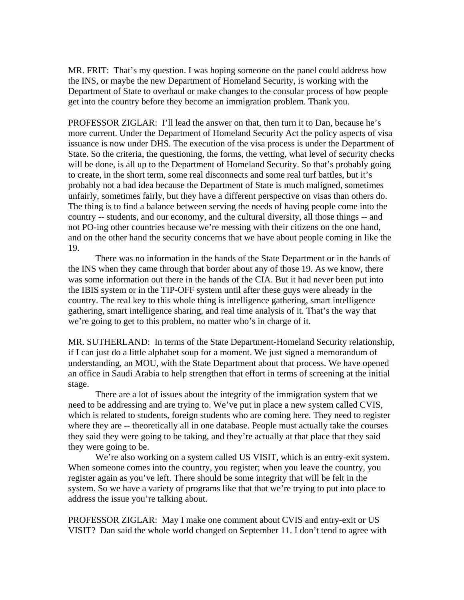MR. FRIT: That's my question. I was hoping someone on the panel could address how the INS, or maybe the new Department of Homeland Security, is working with the Department of State to overhaul or make changes to the consular process of how people get into the country before they become an immigration problem. Thank you.

PROFESSOR ZIGLAR: I'll lead the answer on that, then turn it to Dan, because he's more current. Under the Department of Homeland Security Act the policy aspects of visa issuance is now under DHS. The execution of the visa process is under the Department of State. So the criteria, the questioning, the forms, the vetting, what level of security checks will be done, is all up to the Department of Homeland Security. So that's probably going to create, in the short term, some real disconnects and some real turf battles, but it's probably not a bad idea because the Department of State is much maligned, sometimes unfairly, sometimes fairly, but they have a different perspective on visas than others do. The thing is to find a balance between serving the needs of having people come into the country -- students, and our economy, and the cultural diversity, all those things -- and not PO-ing other countries because we're messing with their citizens on the one hand, and on the other hand the security concerns that we have about people coming in like the 19.

 There was no information in the hands of the State Department or in the hands of the INS when they came through that border about any of those 19. As we know, there was some information out there in the hands of the CIA. But it had never been put into the IBIS system or in the TIP-OFF system until after these guys were already in the country. The real key to this whole thing is intelligence gathering, smart intelligence gathering, smart intelligence sharing, and real time analysis of it. That's the way that we're going to get to this problem, no matter who's in charge of it.

MR. SUTHERLAND: In terms of the State Department-Homeland Security relationship, if I can just do a little alphabet soup for a moment. We just signed a memorandum of understanding, an MOU, with the State Department about that process. We have opened an office in Saudi Arabia to help strengthen that effort in terms of screening at the initial stage.

 There are a lot of issues about the integrity of the immigration system that we need to be addressing and are trying to. We've put in place a new system called CVIS, which is related to students, foreign students who are coming here. They need to register where they are -- theoretically all in one database. People must actually take the courses they said they were going to be taking, and they're actually at that place that they said they were going to be.

 We're also working on a system called US VISIT, which is an entry-exit system. When someone comes into the country, you register; when you leave the country, you register again as you've left. There should be some integrity that will be felt in the system. So we have a variety of programs like that that we're trying to put into place to address the issue you're talking about.

PROFESSOR ZIGLAR: May I make one comment about CVIS and entry-exit or US VISIT? Dan said the whole world changed on September 11. I don't tend to agree with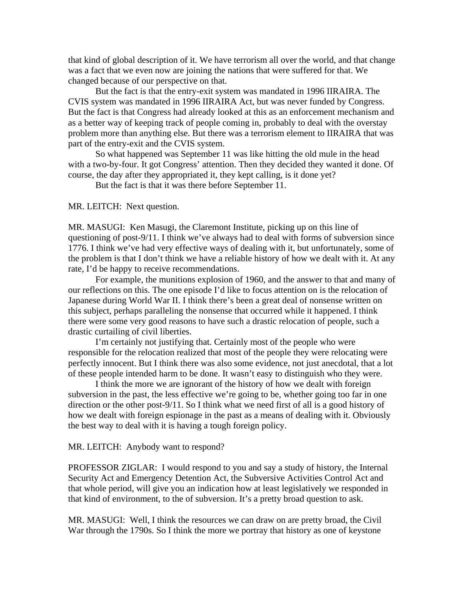that kind of global description of it. We have terrorism all over the world, and that change was a fact that we even now are joining the nations that were suffered for that. We changed because of our perspective on that.

 But the fact is that the entry-exit system was mandated in 1996 IIRAIRA. The CVIS system was mandated in 1996 IIRAIRA Act, but was never funded by Congress. But the fact is that Congress had already looked at this as an enforcement mechanism and as a better way of keeping track of people coming in, probably to deal with the overstay problem more than anything else. But there was a terrorism element to IIRAIRA that was part of the entry-exit and the CVIS system.

 So what happened was September 11 was like hitting the old mule in the head with a two-by-four. It got Congress' attention. Then they decided they wanted it done. Of course, the day after they appropriated it, they kept calling, is it done yet?

But the fact is that it was there before September 11.

MR. LEITCH: Next question.

MR. MASUGI: Ken Masugi, the Claremont Institute, picking up on this line of questioning of post-9/11. I think we've always had to deal with forms of subversion since 1776. I think we've had very effective ways of dealing with it, but unfortunately, some of the problem is that I don't think we have a reliable history of how we dealt with it. At any rate, I'd be happy to receive recommendations.

 For example, the munitions explosion of 1960, and the answer to that and many of our reflections on this. The one episode I'd like to focus attention on is the relocation of Japanese during World War II. I think there's been a great deal of nonsense written on this subject, perhaps paralleling the nonsense that occurred while it happened. I think there were some very good reasons to have such a drastic relocation of people, such a drastic curtailing of civil liberties.

 I'm certainly not justifying that. Certainly most of the people who were responsible for the relocation realized that most of the people they were relocating were perfectly innocent. But I think there was also some evidence, not just anecdotal, that a lot of these people intended harm to be done. It wasn't easy to distinguish who they were.

 I think the more we are ignorant of the history of how we dealt with foreign subversion in the past, the less effective we're going to be, whether going too far in one direction or the other post-9/11. So I think what we need first of all is a good history of how we dealt with foreign espionage in the past as a means of dealing with it. Obviously the best way to deal with it is having a tough foreign policy.

#### MR. LEITCH: Anybody want to respond?

PROFESSOR ZIGLAR: I would respond to you and say a study of history, the Internal Security Act and Emergency Detention Act, the Subversive Activities Control Act and that whole period, will give you an indication how at least legislatively we responded in that kind of environment, to the of subversion. It's a pretty broad question to ask.

MR. MASUGI: Well, I think the resources we can draw on are pretty broad, the Civil War through the 1790s. So I think the more we portray that history as one of keystone